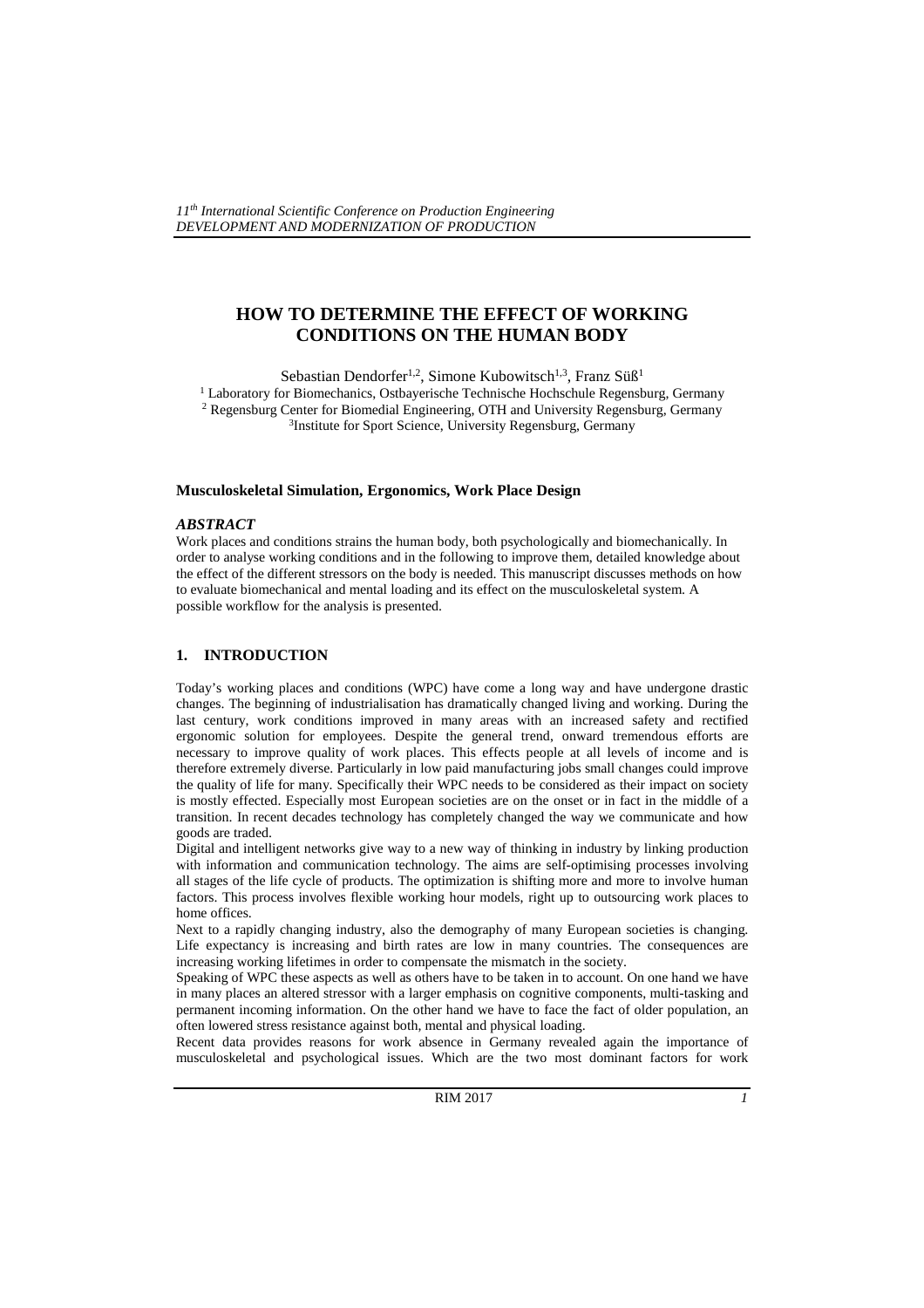# **HOW TO DETERMINE THE EFFECT OF WORKING CONDITIONS ON THE HUMAN BODY**

Sebastian Dendorfer<sup>1,2</sup>, Simone Kubowitsch<sup>1,3</sup>, Franz Süß<sup>1</sup> <sup>1</sup> Laboratory for Biomechanics, Ostbayerische Technische Hochschule Regensburg, Germany

<sup>2</sup> Regensburg Center for Biomedial Engineering, OTH and University Regensburg, Germany <sup>3</sup>Institute for Sport Science, University Regensburg, Germany

#### **Musculoskeletal Simulation, Ergonomics, Work Place Design**

#### *ABSTRACT*

Work places and conditions strains the human body, both psychologically and biomechanically. In order to analyse working conditions and in the following to improve them, detailed knowledge about the effect of the different stressors on the body is needed. This manuscript discusses methods on how to evaluate biomechanical and mental loading and its effect on the musculoskeletal system. A possible workflow for the analysis is presented.

### **1. INTRODUCTION**

Today's working places and conditions (WPC) have come a long way and have undergone drastic changes. The beginning of industrialisation has dramatically changed living and working. During the last century, work conditions improved in many areas with an increased safety and rectified ergonomic solution for employees. Despite the general trend, onward tremendous efforts are necessary to improve quality of work places. This effects people at all levels of income and is therefore extremely diverse. Particularly in low paid manufacturing jobs small changes could improve the quality of life for many. Specifically their WPC needs to be considered as their impact on society is mostly effected. Especially most European societies are on the onset or in fact in the middle of a transition. In recent decades technology has completely changed the way we communicate and how goods are traded.

Digital and intelligent networks give way to a new way of thinking in industry by linking production with information and communication technology. The aims are self-optimising processes involving all stages of the life cycle of products. The optimization is shifting more and more to involve human factors. This process involves flexible working hour models, right up to outsourcing work places to home offices.

Next to a rapidly changing industry, also the demography of many European societies is changing. Life expectancy is increasing and birth rates are low in many countries. The consequences are increasing working lifetimes in order to compensate the mismatch in the society.

Speaking of WPC these aspects as well as others have to be taken in to account. On one hand we have in many places an altered stressor with a larger emphasis on cognitive components, multi-tasking and permanent incoming information. On the other hand we have to face the fact of older population, an often lowered stress resistance against both, mental and physical loading.

Recent data provides reasons for work absence in Germany revealed again the importance of musculoskeletal and psychological issues. Which are the two most dominant factors for work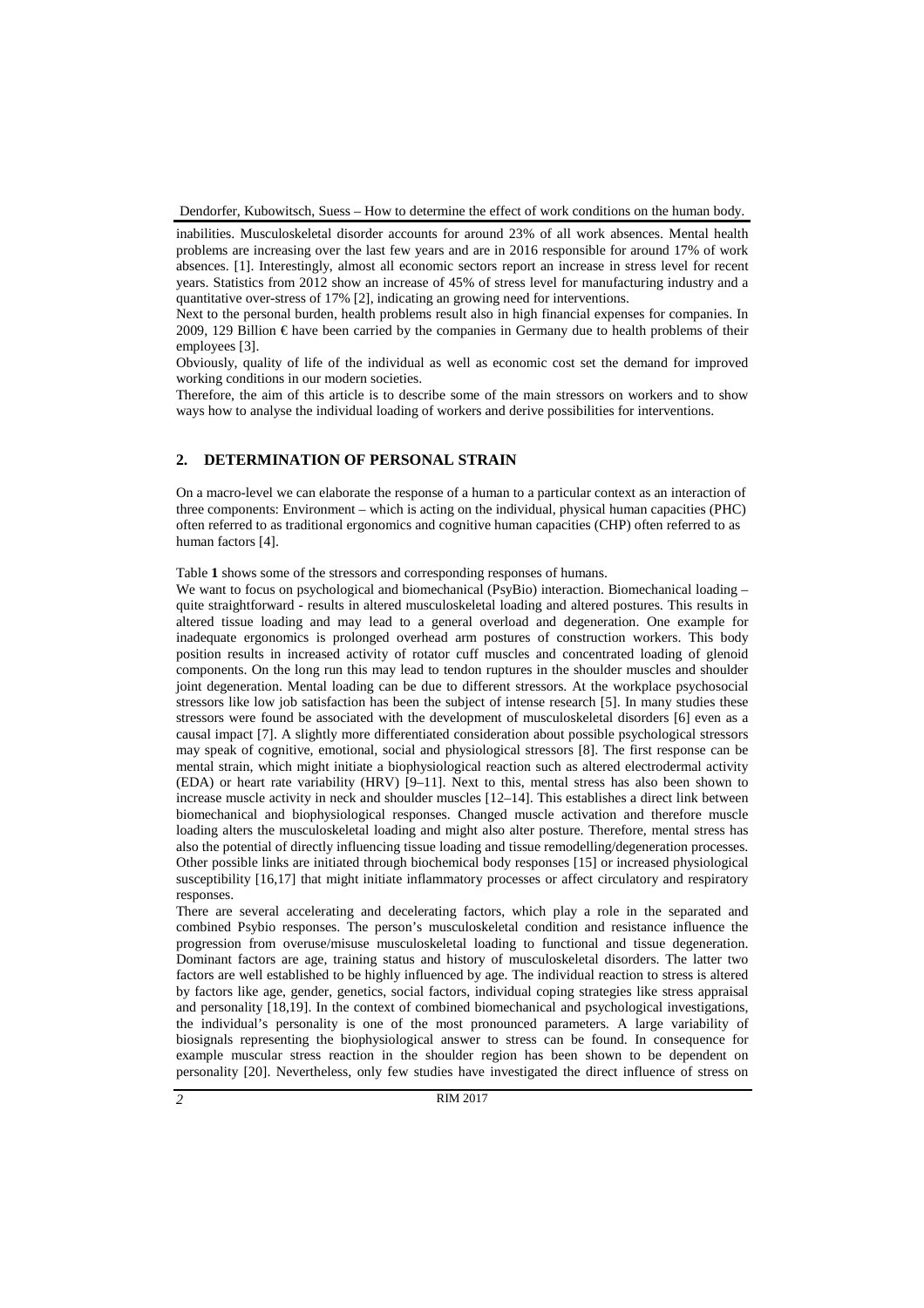inabilities. Musculoskeletal disorder accounts for around 23% of all work absences. Mental health problems are increasing over the last few years and are in 2016 responsible for around 17% of work absences. [1]. Interestingly, almost all economic sectors report an increase in stress level for recent years. Statistics from 2012 show an increase of 45% of stress level for manufacturing industry and a quantitative over-stress of 17% [2], indicating an growing need for interventions.

Next to the personal burden, health problems result also in high financial expenses for companies. In 2009, 129 Billion  $\epsilon$  have been carried by the companies in Germany due to health problems of their employees [3].

Obviously, quality of life of the individual as well as economic cost set the demand for improved working conditions in our modern societies.

Therefore, the aim of this article is to describe some of the main stressors on workers and to show ways how to analyse the individual loading of workers and derive possibilities for interventions.

### **2. DETERMINATION OF PERSONAL STRAIN**

On a macro-level we can elaborate the response of a human to a particular context as an interaction of three components: Environment – which is acting on the individual, physical human capacities (PHC) often referred to as traditional ergonomics and cognitive human capacities (CHP) often referred to as human factors [4].

Table **1** shows some of the stressors and corresponding responses of humans.

We want to focus on psychological and biomechanical (PsyBio) interaction. Biomechanical loading – quite straightforward - results in altered musculoskeletal loading and altered postures. This results in altered tissue loading and may lead to a general overload and degeneration. One example for inadequate ergonomics is prolonged overhead arm postures of construction workers. This body position results in increased activity of rotator cuff muscles and concentrated loading of glenoid components. On the long run this may lead to tendon ruptures in the shoulder muscles and shoulder joint degeneration. Mental loading can be due to different stressors. At the workplace psychosocial stressors like low job satisfaction has been the subject of intense research [5]. In many studies these stressors were found be associated with the development of musculoskeletal disorders [6] even as a causal impact [7]. A slightly more differentiated consideration about possible psychological stressors may speak of cognitive, emotional, social and physiological stressors [8]. The first response can be mental strain, which might initiate a biophysiological reaction such as altered electrodermal activity (EDA) or heart rate variability (HRV) [9–11]. Next to this, mental stress has also been shown to increase muscle activity in neck and shoulder muscles [12–14]. This establishes a direct link between biomechanical and biophysiological responses. Changed muscle activation and therefore muscle loading alters the musculoskeletal loading and might also alter posture. Therefore, mental stress has also the potential of directly influencing tissue loading and tissue remodelling/degeneration processes. Other possible links are initiated through biochemical body responses [15] or increased physiological susceptibility [16,17] that might initiate inflammatory processes or affect circulatory and respiratory responses.

There are several accelerating and decelerating factors, which play a role in the separated and combined Psybio responses. The person's musculoskeletal condition and resistance influence the progression from overuse/misuse musculoskeletal loading to functional and tissue degeneration. Dominant factors are age, training status and history of musculoskeletal disorders. The latter two factors are well established to be highly influenced by age. The individual reaction to stress is altered by factors like age, gender, genetics, social factors, individual coping strategies like stress appraisal and personality [18,19]. In the context of combined biomechanical and psychological investigations, the individual's personality is one of the most pronounced parameters. A large variability of biosignals representing the biophysiological answer to stress can be found. In consequence for example muscular stress reaction in the shoulder region has been shown to be dependent on personality [20]. Nevertheless, only few studies have investigated the direct influence of stress on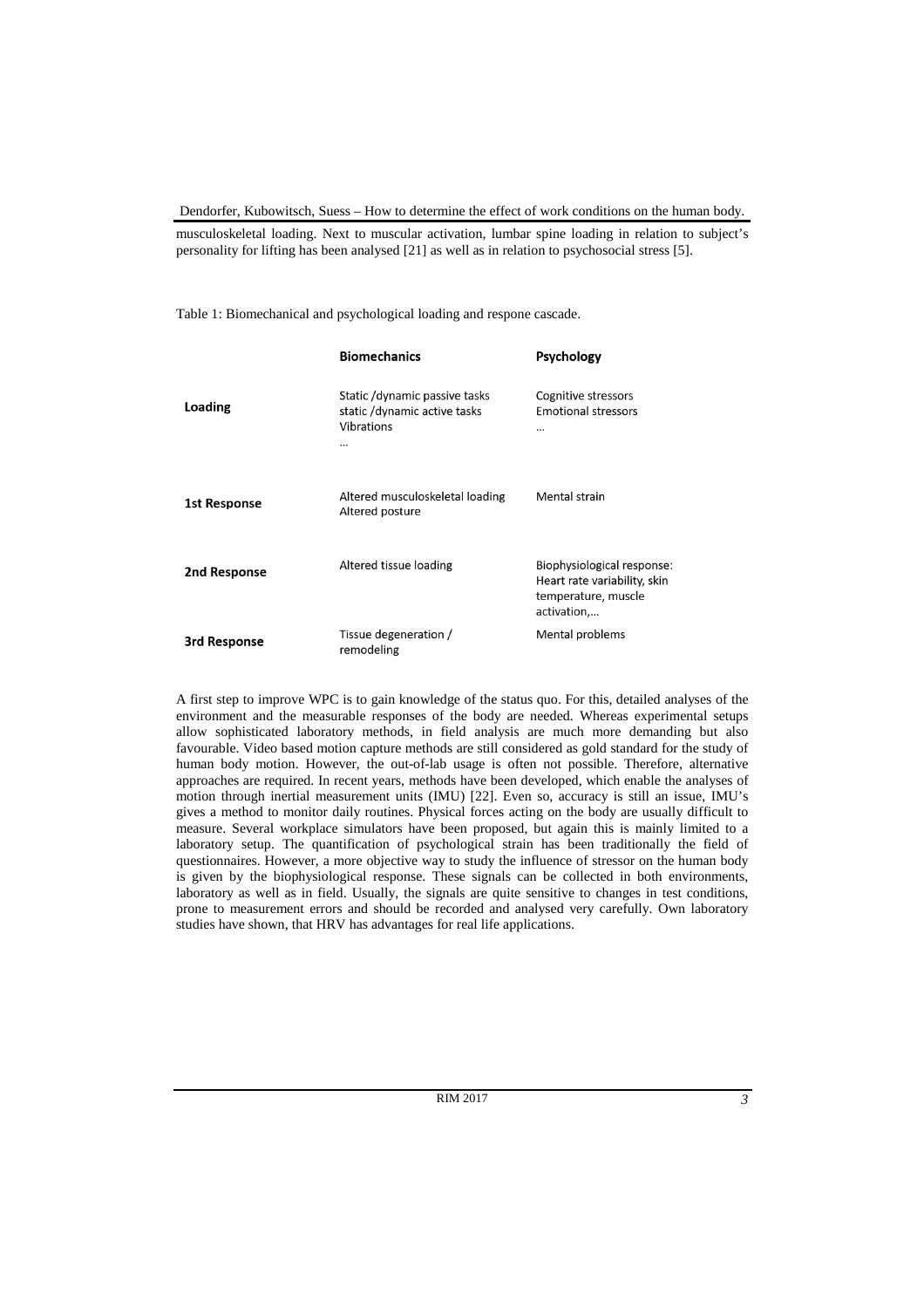musculoskeletal loading. Next to muscular activation, lumbar spine loading in relation to subject's personality for lifting has been analysed [21] as well as in relation to psychosocial stress [5].

Table 1: Biomechanical and psychological loading and respone cascade.

|                     | <b>Biomechanics</b>                                                             | <b>Psychology</b>                                                                                |
|---------------------|---------------------------------------------------------------------------------|--------------------------------------------------------------------------------------------------|
| <b>Loading</b>      | Static /dynamic passive tasks<br>static /dynamic active tasks<br>Vibrations<br> | Cognitive stressors<br><b>Emotional stressors</b><br>                                            |
| <b>1st Response</b> | Altered musculoskeletal loading<br>Altered posture                              | Mental strain                                                                                    |
| 2nd Response        | Altered tissue loading                                                          | Biophysiological response:<br>Heart rate variability, skin<br>temperature, muscle<br>activation, |
| 3rd Response        | Tissue degeneration /<br>remodeling                                             | Mental problems                                                                                  |

A first step to improve WPC is to gain knowledge of the status quo. For this, detailed analyses of the environment and the measurable responses of the body are needed. Whereas experimental setups allow sophisticated laboratory methods, in field analysis are much more demanding but also favourable. Video based motion capture methods are still considered as gold standard for the study of human body motion. However, the out-of-lab usage is often not possible. Therefore, alternative approaches are required. In recent years, methods have been developed, which enable the analyses of motion through inertial measurement units (IMU) [22]. Even so, accuracy is still an issue, IMU's gives a method to monitor daily routines. Physical forces acting on the body are usually difficult to measure. Several workplace simulators have been proposed, but again this is mainly limited to a laboratory setup. The quantification of psychological strain has been traditionally the field of questionnaires. However, a more objective way to study the influence of stressor on the human body is given by the biophysiological response. These signals can be collected in both environments, laboratory as well as in field. Usually, the signals are quite sensitive to changes in test conditions, prone to measurement errors and should be recorded and analysed very carefully. Own laboratory studies have shown, that HRV has advantages for real life applications.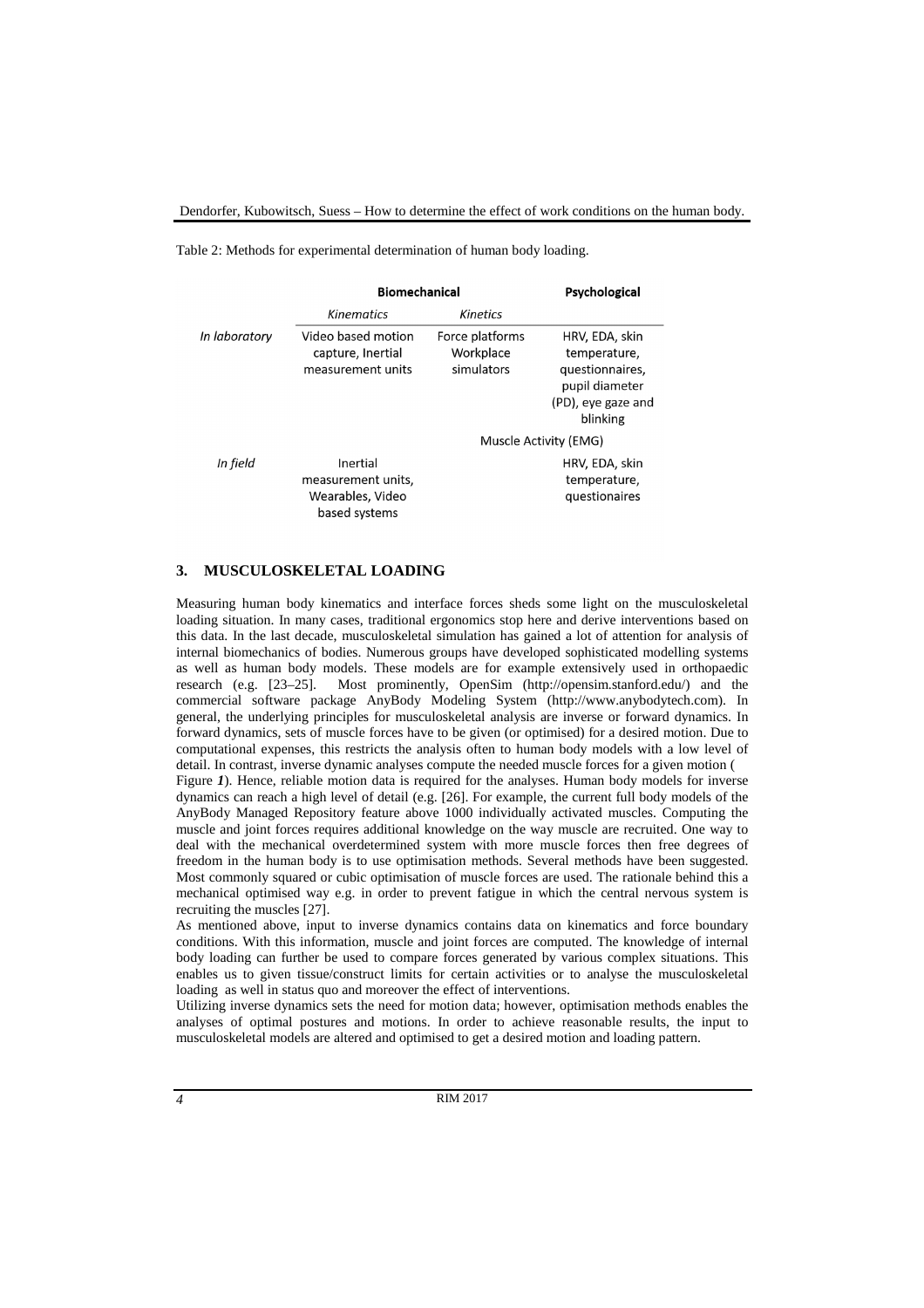Table 2: Methods for experimental determination of human body loading.

|               | <b>Biomechanical</b>                                                |                                            | Psychological                                                                                         |  |
|---------------|---------------------------------------------------------------------|--------------------------------------------|-------------------------------------------------------------------------------------------------------|--|
|               | Kinematics                                                          | <b>Kinetics</b>                            |                                                                                                       |  |
| In laboratory | Video based motion<br>capture, Inertial<br>measurement units        | Force platforms<br>Workplace<br>simulators | HRV, EDA, skin<br>temperature,<br>questionnaires.<br>pupil diameter<br>(PD), eye gaze and<br>blinking |  |
|               |                                                                     |                                            | Muscle Activity (EMG)                                                                                 |  |
| In field      | Inertial<br>measurement units.<br>Wearables, Video<br>based systems |                                            | HRV, EDA, skin<br>temperature.<br>questionaires                                                       |  |

### **3. MUSCULOSKELETAL LOADING**

Measuring human body kinematics and interface forces sheds some light on the musculoskeletal loading situation. In many cases, traditional ergonomics stop here and derive interventions based on this data. In the last decade, musculoskeletal simulation has gained a lot of attention for analysis of internal biomechanics of bodies. Numerous groups have developed sophisticated modelling systems as well as human body models. These models are for example extensively used in orthopaedic research (e.g. [23–25]. Most prominently, OpenSim (http://opensim.stanford.edu/) and the commercial software package AnyBody Modeling System (http://www.anybodytech.com). In general, the underlying principles for musculoskeletal analysis are inverse or forward dynamics. In forward dynamics, sets of muscle forces have to be given (or optimised) for a desired motion. Due to computational expenses, this restricts the analysis often to human body models with a low level of detail. In contrast, inverse dynamic analyses compute the needed muscle forces for a given motion ( Figure *1*). Hence, reliable motion data is required for the analyses. Human body models for inverse dynamics can reach a high level of detail (e.g. [26]. For example, the current full body models of the AnyBody Managed Repository feature above 1000 individually activated muscles. Computing the muscle and joint forces requires additional knowledge on the way muscle are recruited. One way to deal with the mechanical overdetermined system with more muscle forces then free degrees of freedom in the human body is to use optimisation methods. Several methods have been suggested. Most commonly squared or cubic optimisation of muscle forces are used. The rationale behind this a mechanical optimised way e.g. in order to prevent fatigue in which the central nervous system is

recruiting the muscles [27].

As mentioned above, input to inverse dynamics contains data on kinematics and force boundary conditions. With this information, muscle and joint forces are computed. The knowledge of internal body loading can further be used to compare forces generated by various complex situations. This enables us to given tissue/construct limits for certain activities or to analyse the musculoskeletal loading as well in status quo and moreover the effect of interventions.

Utilizing inverse dynamics sets the need for motion data; however, optimisation methods enables the analyses of optimal postures and motions. In order to achieve reasonable results, the input to musculoskeletal models are altered and optimised to get a desired motion and loading pattern.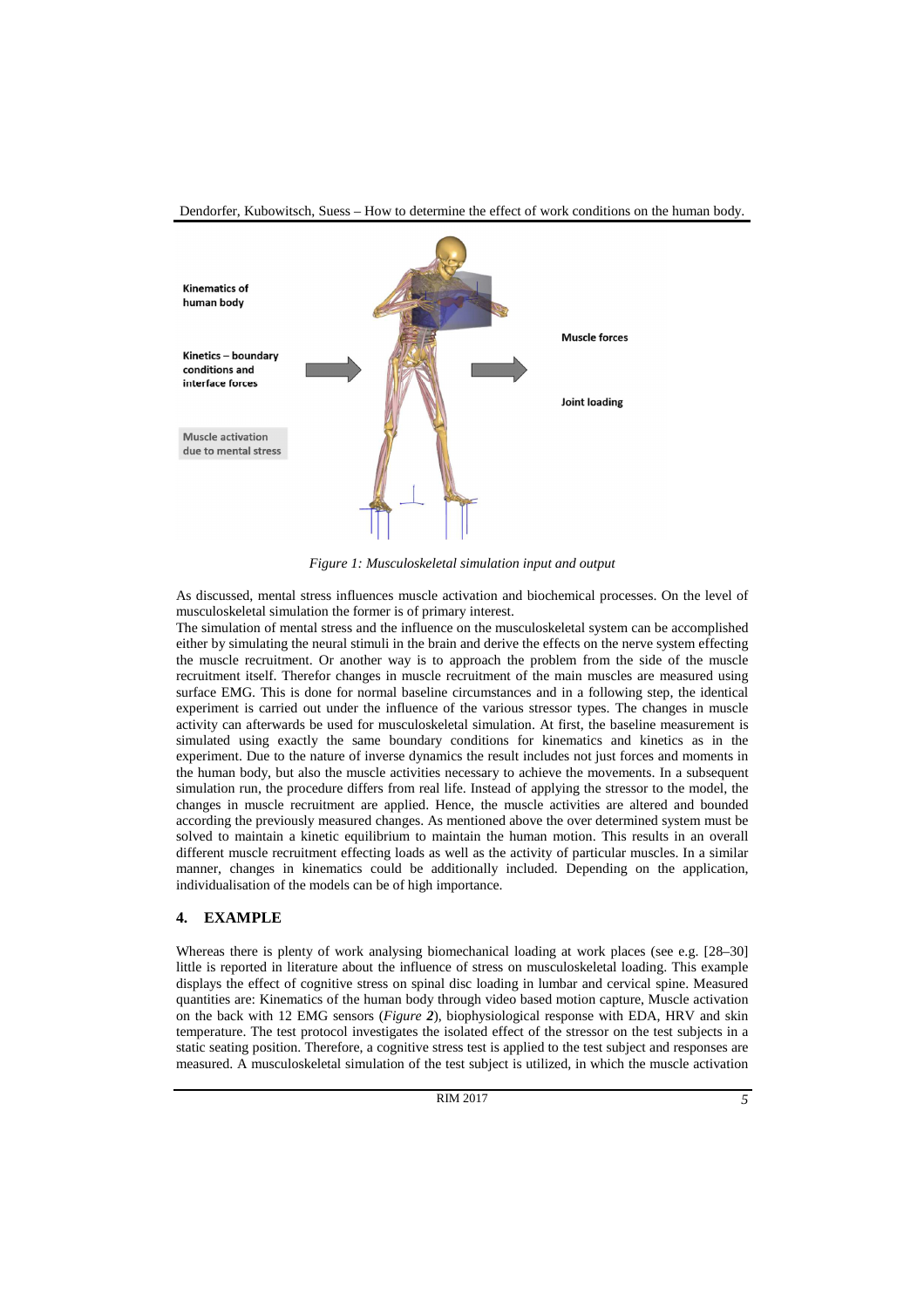

*Figure 1: Musculoskeletal simulation input and output* 

As discussed, mental stress influences muscle activation and biochemical processes. On the level of musculoskeletal simulation the former is of primary interest.

The simulation of mental stress and the influence on the musculoskeletal system can be accomplished either by simulating the neural stimuli in the brain and derive the effects on the nerve system effecting the muscle recruitment. Or another way is to approach the problem from the side of the muscle recruitment itself. Therefor changes in muscle recruitment of the main muscles are measured using surface EMG. This is done for normal baseline circumstances and in a following step, the identical experiment is carried out under the influence of the various stressor types. The changes in muscle activity can afterwards be used for musculoskeletal simulation. At first, the baseline measurement is simulated using exactly the same boundary conditions for kinematics and kinetics as in the experiment. Due to the nature of inverse dynamics the result includes not just forces and moments in the human body, but also the muscle activities necessary to achieve the movements. In a subsequent simulation run, the procedure differs from real life. Instead of applying the stressor to the model, the changes in muscle recruitment are applied. Hence, the muscle activities are altered and bounded according the previously measured changes. As mentioned above the over determined system must be solved to maintain a kinetic equilibrium to maintain the human motion. This results in an overall different muscle recruitment effecting loads as well as the activity of particular muscles. In a similar manner, changes in kinematics could be additionally included. Depending on the application, individualisation of the models can be of high importance.

### **4. EXAMPLE**

Whereas there is plenty of work analysing biomechanical loading at work places (see e.g. [28–30] little is reported in literature about the influence of stress on musculoskeletal loading. This example displays the effect of cognitive stress on spinal disc loading in lumbar and cervical spine. Measured quantities are: Kinematics of the human body through video based motion capture, Muscle activation on the back with 12 EMG sensors (*Figure 2*), biophysiological response with EDA, HRV and skin temperature. The test protocol investigates the isolated effect of the stressor on the test subjects in a static seating position. Therefore, a cognitive stress test is applied to the test subject and responses are measured. A musculoskeletal simulation of the test subject is utilized, in which the muscle activation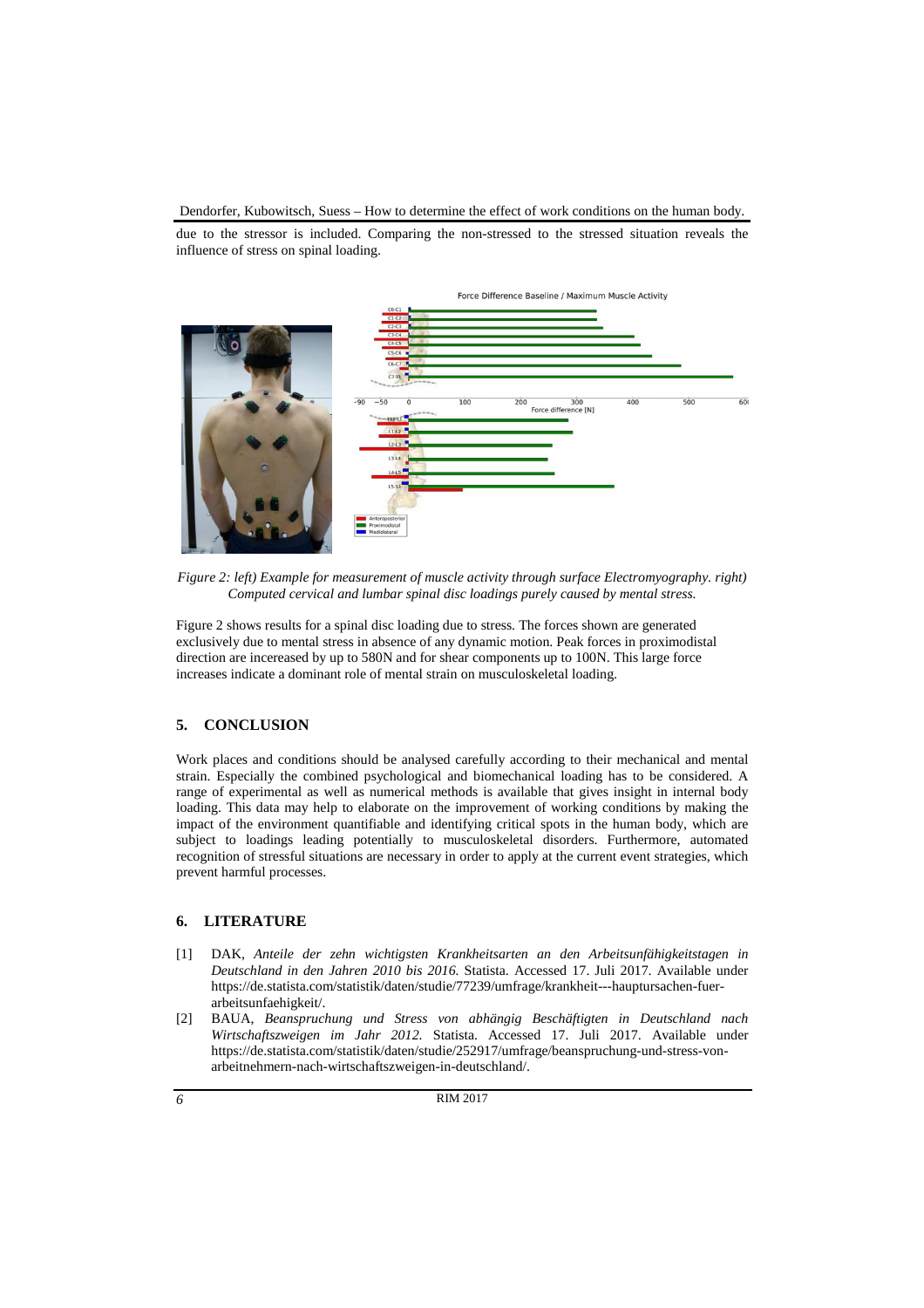due to the stressor is included. Comparing the non-stressed to the stressed situation reveals the influence of stress on spinal loading.



*Figure 2: left) Example for measurement of muscle activity through surface Electromyography. right) Computed cervical and lumbar spinal disc loadings purely caused by mental stress.* 

Figure 2 shows results for a spinal disc loading due to stress. The forces shown are generated exclusively due to mental stress in absence of any dynamic motion. Peak forces in proximodistal direction are incereased by up to 580N and for shear components up to 100N. This large force increases indicate a dominant role of mental strain on musculoskeletal loading.

## **5. CONCLUSION**

Work places and conditions should be analysed carefully according to their mechanical and mental strain. Especially the combined psychological and biomechanical loading has to be considered. A range of experimental as well as numerical methods is available that gives insight in internal body loading. This data may help to elaborate on the improvement of working conditions by making the impact of the environment quantifiable and identifying critical spots in the human body, which are subject to loadings leading potentially to musculoskeletal disorders. Furthermore, automated recognition of stressful situations are necessary in order to apply at the current event strategies, which prevent harmful processes.

### **6. LITERATURE**

- [1] DAK, *Anteile der zehn wichtigsten Krankheitsarten an den Arbeitsunfähigkeitstagen in Deutschland in den Jahren 2010 bis 2016.* Statista. Accessed 17. Juli 2017. Available under https://de.statista.com/statistik/daten/studie/77239/umfrage/krankheit---hauptursachen-fuerarbeitsunfaehigkeit/.
- [2] BAUA, *Beanspruchung und Stress von abhängig Beschäftigten in Deutschland nach Wirtschaftszweigen im Jahr 2012.* Statista. Accessed 17. Juli 2017. Available under https://de.statista.com/statistik/daten/studie/252917/umfrage/beanspruchung-und-stress-vonarbeitnehmern-nach-wirtschaftszweigen-in-deutschland/.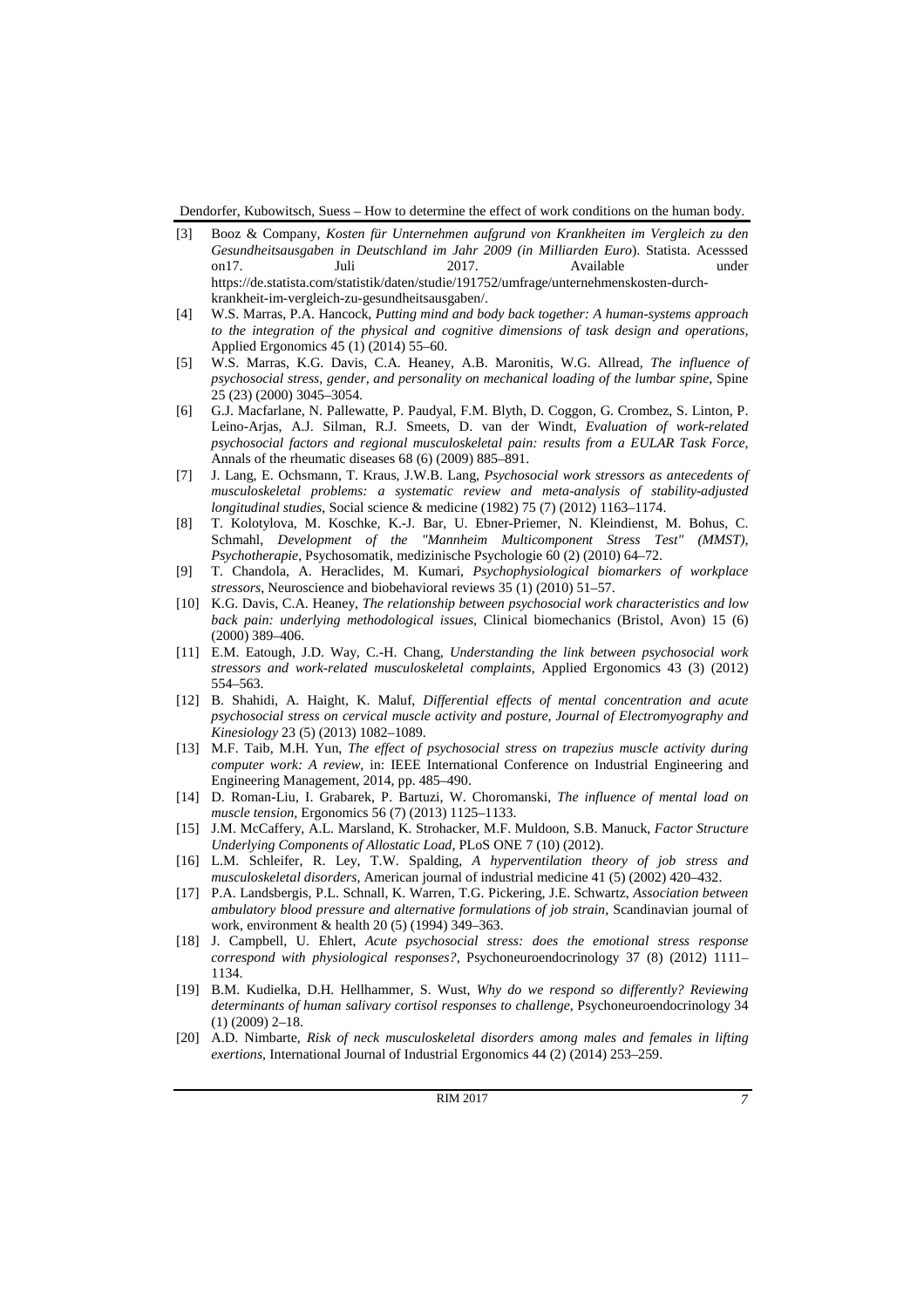- [3] Booz & Company, *Kosten für Unternehmen aufgrund von Krankheiten im Vergleich zu den Gesundheitsausgaben in Deutschland im Jahr 2009 (in Milliarden Euro*). Statista. Acesssed on17. Juli 2017. Available under https://de.statista.com/statistik/daten/studie/191752/umfrage/unternehmenskosten-durchkrankheit-im-vergleich-zu-gesundheitsausgaben/.
- [4] W.S. Marras, P.A. Hancock, *Putting mind and body back together: A human-systems approach to the integration of the physical and cognitive dimensions of task design and operations,*  Applied Ergonomics 45 (1) (2014) 55–60.
- [5] W.S. Marras, K.G. Davis, C.A. Heaney, A.B. Maronitis, W.G. Allread, *The influence of psychosocial stress, gender, and personality on mechanical loading of the lumbar spine*, Spine 25 (23) (2000) 3045–3054.
- [6] G.J. Macfarlane, N. Pallewatte, P. Paudyal, F.M. Blyth, D. Coggon, G. Crombez, S. Linton, P. Leino-Arjas, A.J. Silman, R.J. Smeets, D. van der Windt, *Evaluation of work-related psychosocial factors and regional musculoskeletal pain: results from a EULAR Task Force,* Annals of the rheumatic diseases 68 (6) (2009) 885–891.
- [7] J. Lang, E. Ochsmann, T. Kraus, J.W.B. Lang, *Psychosocial work stressors as antecedents of musculoskeletal problems: a systematic review and meta-analysis of stability-adjusted longitudinal studies*, Social science & medicine (1982) 75 (7) (2012) 1163–1174.
- [8] T. Kolotylova, M. Koschke, K.-J. Bar, U. Ebner-Priemer, N. Kleindienst, M. Bohus, C. Schmahl, *Development of the "Mannheim Multicomponent Stress Test" (MMST), Psychotherapie*, Psychosomatik, medizinische Psychologie 60 (2) (2010) 64–72.
- [9] T. Chandola, A. Heraclides, M. Kumari, *Psychophysiological biomarkers of workplace stressors*, Neuroscience and biobehavioral reviews 35 (1) (2010) 51–57.
- [10] K.G. Davis, C.A. Heaney, *The relationship between psychosocial work characteristics and low back pain: underlying methodological issues,* Clinical biomechanics (Bristol, Avon) 15 (6) (2000) 389–406.
- [11] E.M. Eatough, J.D. Way, C.-H. Chang, *Understanding the link between psychosocial work stressors and work-related musculoskeletal complaints*, Applied Ergonomics 43 (3) (2012) 554–563.
- [12] B. Shahidi, A. Haight, K. Maluf, *Differential effects of mental concentration and acute psychosocial stress on cervical muscle activity and posture, Journal of Electromyography and Kinesiology* 23 (5) (2013) 1082–1089.
- [13] M.F. Taib, M.H. Yun, *The effect of psychosocial stress on trapezius muscle activity during computer work: A review,* in: IEEE International Conference on Industrial Engineering and Engineering Management, 2014, pp. 485–490.
- [14] D. Roman-Liu, I. Grabarek, P. Bartuzi, W. Choromanski, *The influence of mental load on muscle tension,* Ergonomics 56 (7) (2013) 1125–1133.
- [15] J.M. McCaffery, A.L. Marsland, K. Strohacker, M.F. Muldoon, S.B. Manuck, *Factor Structure Underlying Components of Allostatic Load*, PLoS ONE 7 (10) (2012).
- [16] L.M. Schleifer, R. Ley, T.W. Spalding, *A hyperventilation theory of job stress and musculoskeletal disorders,* American journal of industrial medicine 41 (5) (2002) 420–432.
- [17] P.A. Landsbergis, P.L. Schnall, K. Warren, T.G. Pickering, J.E. Schwartz, *Association between ambulatory blood pressure and alternative formulations of job strain,* Scandinavian journal of work, environment & health 20 (5) (1994) 349–363.
- [18] J. Campbell, U. Ehlert, *Acute psychosocial stress: does the emotional stress response correspond with physiological responses?*, Psychoneuroendocrinology 37 (8) (2012) 1111– 1134.
- [19] B.M. Kudielka, D.H. Hellhammer, S. Wust, *Why do we respond so differently? Reviewing determinants of human salivary cortisol responses to challenge*, Psychoneuroendocrinology 34 (1) (2009) 2–18.
- [20] A.D. Nimbarte, *Risk of neck musculoskeletal disorders among males and females in lifting exertions*, International Journal of Industrial Ergonomics 44 (2) (2014) 253–259.